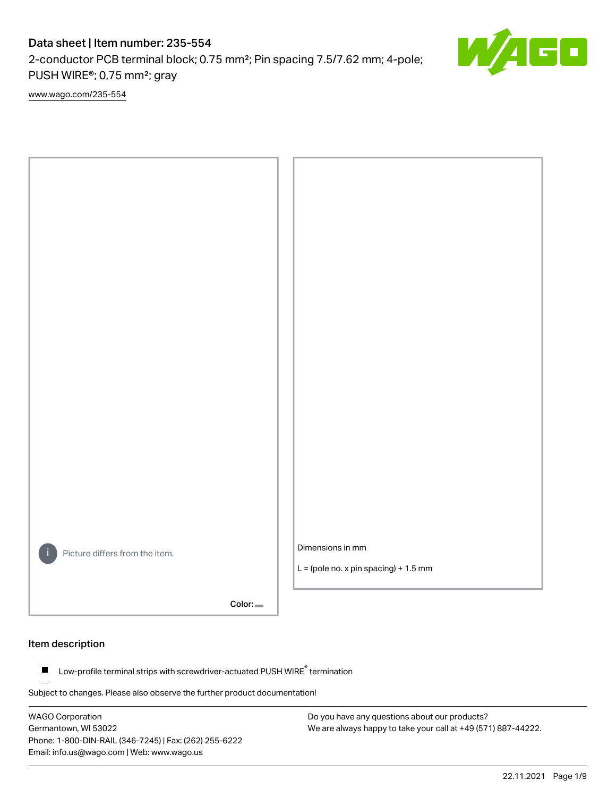# Data sheet | Item number: 235-554

2-conductor PCB terminal block; 0.75 mm²; Pin spacing 7.5/7.62 mm; 4-pole; PUSH WIRE®; 0,75 mm²; gray

[www.wago.com/235-554](http://www.wago.com/235-554)



Color:

### Item description

Low-profile terminal strips with screwdriver-actuated PUSH WIRE® termination  $\blacksquare$ 

Subject to changes. Please also observe the further product documentation!

WAGO Corporation Germantown, WI 53022 Phone: 1-800-DIN-RAIL (346-7245) | Fax: (262) 255-6222 Email: info.us@wago.com | Web: www.wago.us

Do you have any questions about our products? We are always happy to take your call at +49 (571) 887-44222.

22.11.2021 Page 1/9

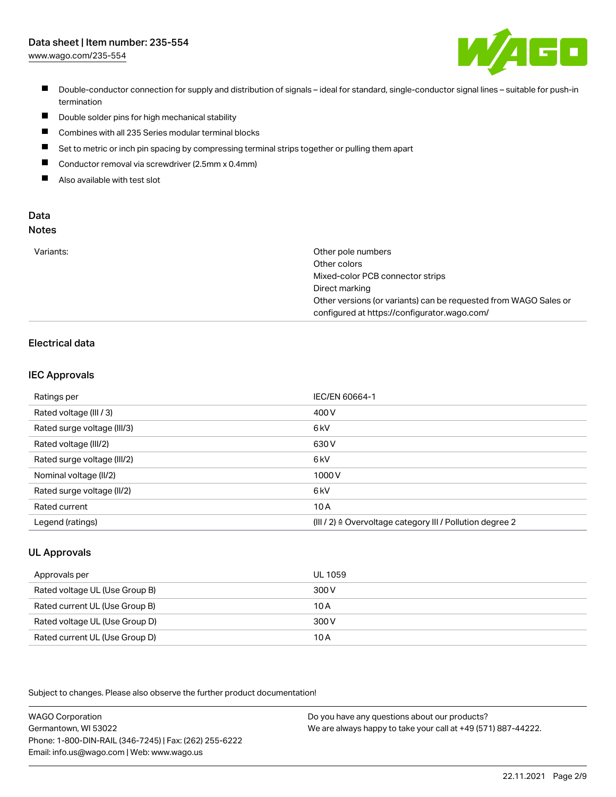# Data sheet | Item number: 235-554

[www.wago.com/235-554](http://www.wago.com/235-554)



- Double-conductor connection for supply and distribution of signals ideal for standard, single-conductor signal lines suitable for push-in termination
- $\blacksquare$ Double solder pins for high mechanical stability
- $\blacksquare$ Combines with all 235 Series modular terminal blocks
- $\blacksquare$ Set to metric or inch pin spacing by compressing terminal strips together or pulling them apart
- $\blacksquare$ Conductor removal via screwdriver (2.5mm x 0.4mm)
- $\blacksquare$ Also available with test slot

#### Data Notes

|  | . . | . .<br>÷<br>۰. | I<br>×<br>۰. |  |
|--|-----|----------------|--------------|--|
|  |     |                |              |  |
|  |     |                |              |  |

| Variants: | Other pole numbers                                               |
|-----------|------------------------------------------------------------------|
|           | Other colors                                                     |
|           | Mixed-color PCB connector strips                                 |
|           | Direct marking                                                   |
|           | Other versions (or variants) can be requested from WAGO Sales or |
|           | configured at https://configurator.wago.com/                     |

## Electrical data

#### IEC Approvals

| Ratings per                 | IEC/EN 60664-1                                                        |
|-----------------------------|-----------------------------------------------------------------------|
| Rated voltage (III / 3)     | 400 V                                                                 |
| Rated surge voltage (III/3) | 6 <sub>k</sub> V                                                      |
| Rated voltage (III/2)       | 630 V                                                                 |
| Rated surge voltage (III/2) | 6 <sub>k</sub> V                                                      |
| Nominal voltage (II/2)      | 1000 V                                                                |
| Rated surge voltage (II/2)  | 6 <sub>k</sub> V                                                      |
| Rated current               | 10A                                                                   |
| Legend (ratings)            | $(III / 2)$ $\triangle$ Overvoltage category III / Pollution degree 2 |

## UL Approvals

| Approvals per                  | UL 1059 |
|--------------------------------|---------|
| Rated voltage UL (Use Group B) | 300 V   |
| Rated current UL (Use Group B) | 10 A    |
| Rated voltage UL (Use Group D) | 300 V   |
| Rated current UL (Use Group D) | 10 A    |

Subject to changes. Please also observe the further product documentation!

| <b>WAGO Corporation</b>                                | Do you have any questions about our products?                 |
|--------------------------------------------------------|---------------------------------------------------------------|
| Germantown, WI 53022                                   | We are always happy to take your call at +49 (571) 887-44222. |
| Phone: 1-800-DIN-RAIL (346-7245)   Fax: (262) 255-6222 |                                                               |
| Email: info.us@wago.com   Web: www.wago.us             |                                                               |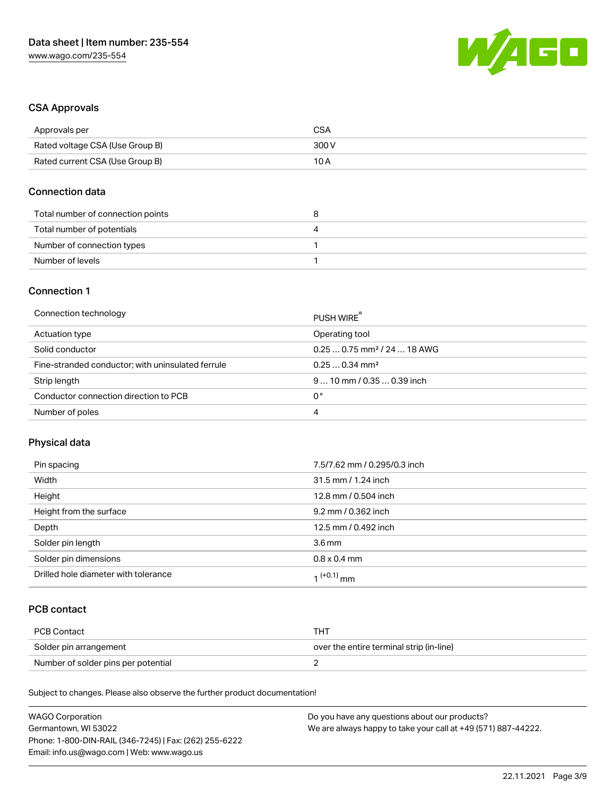

### CSA Approvals

| Approvals per                   | CSA   |
|---------------------------------|-------|
| Rated voltage CSA (Use Group B) | 300 V |
| Rated current CSA (Use Group B) | 10 A  |

#### Connection data

| Total number of connection points |  |
|-----------------------------------|--|
| Total number of potentials        |  |
| Number of connection types        |  |
| Number of levels                  |  |

## Connection 1

| Connection technology                             | PUSH WIRE                               |
|---------------------------------------------------|-----------------------------------------|
| Actuation type                                    | Operating tool                          |
| Solid conductor                                   | $0.250.75$ mm <sup>2</sup> / 24  18 AWG |
| Fine-stranded conductor; with uninsulated ferrule | $0.250.34$ mm <sup>2</sup>              |
| Strip length                                      | $910$ mm / 0.35  0.39 inch              |
| Conductor connection direction to PCB             | 0°                                      |
| Number of poles                                   | 4                                       |

## Physical data

| Pin spacing                          | 7.5/7.62 mm / 0.295/0.3 inch |
|--------------------------------------|------------------------------|
| Width                                | 31.5 mm / 1.24 inch          |
| Height                               | 12.8 mm / 0.504 inch         |
| Height from the surface              | 9.2 mm / 0.362 inch          |
| Depth                                | 12.5 mm / 0.492 inch         |
| Solder pin length                    | 3.6 <sub>mm</sub>            |
| Solder pin dimensions                | $0.8 \times 0.4$ mm          |
| Drilled hole diameter with tolerance | 1 <sup>(+0.1)</sup> mm       |

## PCB contact

| PCB Contact                         | TH .                                     |
|-------------------------------------|------------------------------------------|
| Solder pin arrangement              | over the entire terminal strip (in-line) |
| Number of solder pins per potential |                                          |

Subject to changes. Please also observe the further product documentation!

| <b>WAGO Corporation</b>                                | Do you have any questions about our products?                 |
|--------------------------------------------------------|---------------------------------------------------------------|
| Germantown, WI 53022                                   | We are always happy to take your call at +49 (571) 887-44222. |
| Phone: 1-800-DIN-RAIL (346-7245)   Fax: (262) 255-6222 |                                                               |
| Email: info.us@wago.com   Web: www.wago.us             |                                                               |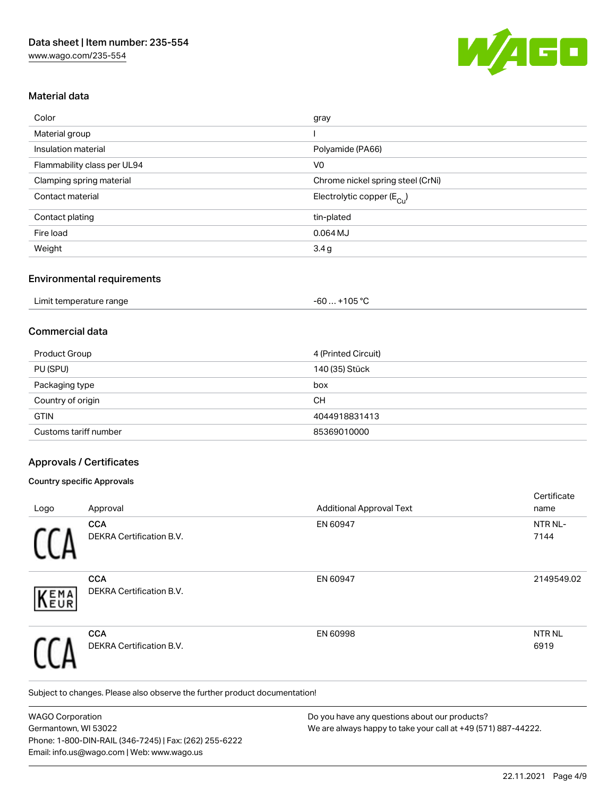

#### Material data

| Color                       | gray                                  |
|-----------------------------|---------------------------------------|
| Material group              |                                       |
| Insulation material         | Polyamide (PA66)                      |
| Flammability class per UL94 | V <sub>0</sub>                        |
| Clamping spring material    | Chrome nickel spring steel (CrNi)     |
| Contact material            | Electrolytic copper $(E_{\text{Cu}})$ |
| Contact plating             | tin-plated                            |
| Fire load                   | $0.064$ MJ                            |
| Weight                      | 3.4g                                  |

#### Environmental requirements

| Limit temperature range | $+105 °C$<br>$-60$ $-60$ |  |
|-------------------------|--------------------------|--|
|-------------------------|--------------------------|--|

### Commercial data

| Product Group         | 4 (Printed Circuit) |
|-----------------------|---------------------|
| PU (SPU)              | 140 (35) Stück      |
| Packaging type        | box                 |
| Country of origin     | CН                  |
| <b>GTIN</b>           | 4044918831413       |
| Customs tariff number | 85369010000         |

#### Approvals / Certificates

#### Country specific Approvals

|            |                                               |                                 | Certificate          |
|------------|-----------------------------------------------|---------------------------------|----------------------|
| Logo       | Approval                                      | <b>Additional Approval Text</b> | name                 |
|            | <b>CCA</b><br>DEKRA Certification B.V.        | EN 60947                        | NTR NL-<br>7144      |
| EMA<br>EUR | <b>CCA</b><br><b>DEKRA Certification B.V.</b> | EN 60947                        | 2149549.02           |
|            | <b>CCA</b><br>DEKRA Certification B.V.        | EN 60998                        | <b>NTRNL</b><br>6919 |

Subject to changes. Please also observe the further product documentation!

WAGO Corporation Germantown, WI 53022 Phone: 1-800-DIN-RAIL (346-7245) | Fax: (262) 255-6222 Email: info.us@wago.com | Web: www.wago.us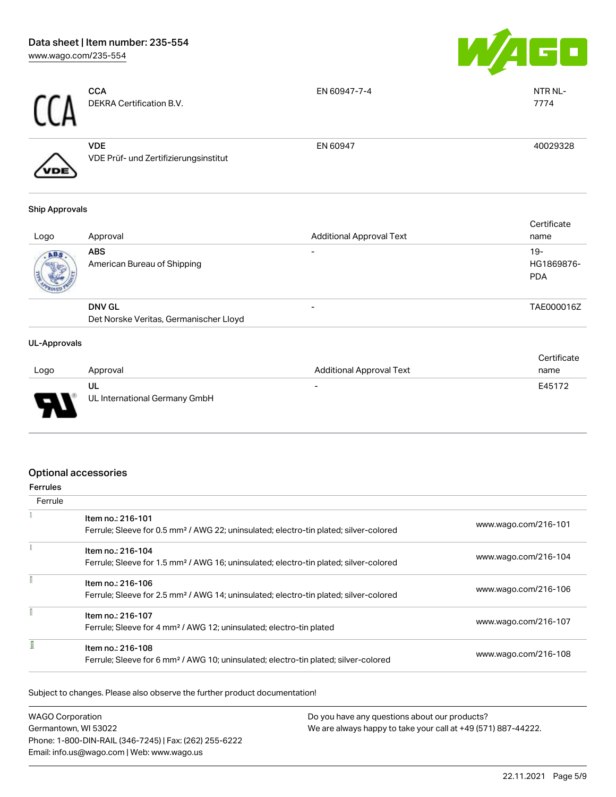

| rr   | <b>CCA</b><br>DEKRA Certification B.V.              | EN 60947-7-4 | NTR NL-<br>7774 |
|------|-----------------------------------------------------|--------------|-----------------|
| /VDE | <b>VDE</b><br>VDE Prüf- und Zertifizierungsinstitut | EN 60947     | 40029328        |

#### Ship Approvals

| Logo | Approval                                  | <b>Additional Approval Text</b> | Certificate<br>name               |
|------|-------------------------------------------|---------------------------------|-----------------------------------|
| ABS. | <b>ABS</b><br>American Bureau of Shipping |                                 | $19-$<br>HG1869876-<br><b>PDA</b> |
|      | <b>DNV GL</b>                             |                                 | TAE000016Z                        |
|      | Det Norske Veritas, Germanischer Lloyd    |                                 |                                   |

#### UL-Approvals

| Logo   | Approval                      | <b>Additional Approval Text</b> | Certificate<br>name |
|--------|-------------------------------|---------------------------------|---------------------|
|        | UL                            | $\overline{\phantom{0}}$        | E45172              |
| $\Box$ | UL International Germany GmbH |                                 |                     |

## Optional accessories

| errules |
|---------|

| Ferrule |                                                                                                   |                      |
|---------|---------------------------------------------------------------------------------------------------|----------------------|
|         | Item no.: 216-101                                                                                 |                      |
|         | Ferrule; Sleeve for 0.5 mm <sup>2</sup> / AWG 22; uninsulated; electro-tin plated; silver-colored | www.wago.com/216-101 |
|         | Item no.: 216-104                                                                                 |                      |
|         | Ferrule; Sleeve for 1.5 mm <sup>2</sup> / AWG 16; uninsulated; electro-tin plated; silver-colored | www.wago.com/216-104 |
|         | Item no.: 216-106                                                                                 |                      |
|         | Ferrule; Sleeve for 2.5 mm <sup>2</sup> / AWG 14; uninsulated; electro-tin plated; silver-colored | www.wago.com/216-106 |
|         | Item no.: 216-107                                                                                 |                      |
|         | Ferrule; Sleeve for 4 mm <sup>2</sup> / AWG 12; uninsulated; electro-tin plated                   | www.wago.com/216-107 |
|         | Item no.: 216-108                                                                                 |                      |
|         | Ferrule; Sleeve for 6 mm <sup>2</sup> / AWG 10; uninsulated; electro-tin plated; silver-colored   | www.wago.com/216-108 |

Subject to changes. Please also observe the further product documentation!

| <b>WAGO Corporation</b>                                | Do you have any questions about our products?                 |
|--------------------------------------------------------|---------------------------------------------------------------|
| Germantown, WI 53022                                   | We are always happy to take your call at +49 (571) 887-44222. |
| Phone: 1-800-DIN-RAIL (346-7245)   Fax: (262) 255-6222 |                                                               |
| Email: info.us@wago.com   Web: www.wago.us             |                                                               |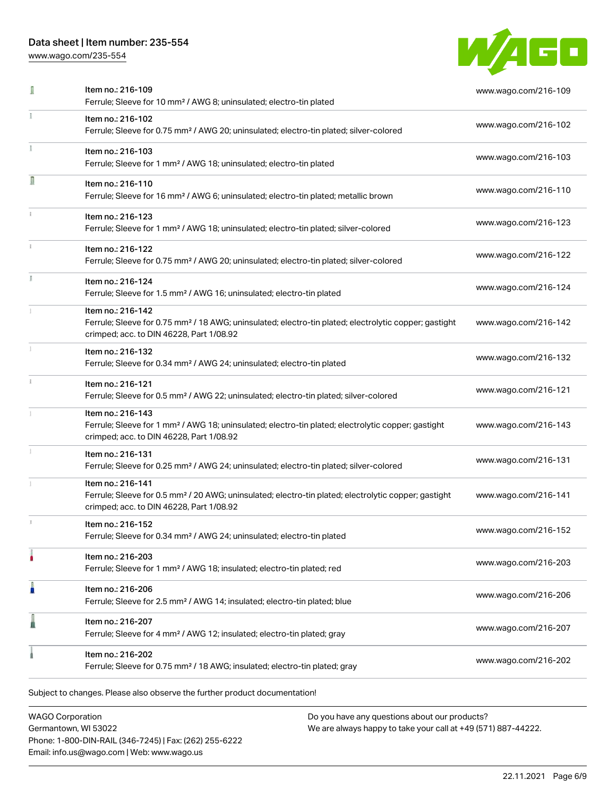## Data sheet | Item number: 235-554

[www.wago.com/235-554](http://www.wago.com/235-554)



|    | Item no.: 216-109<br>Ferrule; Sleeve for 10 mm <sup>2</sup> / AWG 8; uninsulated; electro-tin plated                                                                               | www.wago.com/216-109 |
|----|------------------------------------------------------------------------------------------------------------------------------------------------------------------------------------|----------------------|
|    | Item no.: 216-102<br>Ferrule; Sleeve for 0.75 mm <sup>2</sup> / AWG 20; uninsulated; electro-tin plated; silver-colored                                                            | www.wago.com/216-102 |
|    | Item no.: 216-103<br>Ferrule; Sleeve for 1 mm <sup>2</sup> / AWG 18; uninsulated; electro-tin plated                                                                               | www.wago.com/216-103 |
| Ω  | Item no.: 216-110<br>Ferrule; Sleeve for 16 mm <sup>2</sup> / AWG 6; uninsulated; electro-tin plated; metallic brown                                                               | www.wago.com/216-110 |
|    | Item no.: 216-123<br>Ferrule; Sleeve for 1 mm <sup>2</sup> / AWG 18; uninsulated; electro-tin plated; silver-colored                                                               | www.wago.com/216-123 |
|    | Item no.: 216-122<br>Ferrule; Sleeve for 0.75 mm <sup>2</sup> / AWG 20; uninsulated; electro-tin plated; silver-colored                                                            | www.wago.com/216-122 |
| I. | Item no.: 216-124<br>Ferrule; Sleeve for 1.5 mm <sup>2</sup> / AWG 16; uninsulated; electro-tin plated                                                                             | www.wago.com/216-124 |
|    | Item no.: 216-142<br>Ferrule; Sleeve for 0.75 mm <sup>2</sup> / 18 AWG; uninsulated; electro-tin plated; electrolytic copper; gastight<br>crimped; acc. to DIN 46228, Part 1/08.92 | www.wago.com/216-142 |
|    | Item no.: 216-132<br>Ferrule; Sleeve for 0.34 mm <sup>2</sup> / AWG 24; uninsulated; electro-tin plated                                                                            | www.wago.com/216-132 |
|    | Item no.: 216-121<br>Ferrule; Sleeve for 0.5 mm <sup>2</sup> / AWG 22; uninsulated; electro-tin plated; silver-colored                                                             | www.wago.com/216-121 |
|    | Item no.: 216-143<br>Ferrule; Sleeve for 1 mm <sup>2</sup> / AWG 18; uninsulated; electro-tin plated; electrolytic copper; gastight<br>crimped; acc. to DIN 46228, Part 1/08.92    | www.wago.com/216-143 |
|    | Item no.: 216-131<br>Ferrule; Sleeve for 0.25 mm <sup>2</sup> / AWG 24; uninsulated; electro-tin plated; silver-colored                                                            | www.wago.com/216-131 |
|    | Item no.: 216-141<br>Ferrule; Sleeve for 0.5 mm <sup>2</sup> / 20 AWG; uninsulated; electro-tin plated; electrolytic copper; gastight<br>crimped; acc. to DIN 46228, Part 1/08.92  | www.wago.com/216-141 |
|    | Item no.: 216-152<br>Ferrule; Sleeve for 0.34 mm <sup>2</sup> / AWG 24; uninsulated; electro-tin plated                                                                            | www.wago.com/216-152 |
|    | Item no.: 216-203<br>Ferrule; Sleeve for 1 mm <sup>2</sup> / AWG 18; insulated; electro-tin plated; red                                                                            | www.wago.com/216-203 |
| Ä  | Item no.: 216-206<br>Ferrule; Sleeve for 2.5 mm <sup>2</sup> / AWG 14; insulated; electro-tin plated; blue                                                                         | www.wago.com/216-206 |
|    | Item no.: 216-207<br>Ferrule; Sleeve for 4 mm <sup>2</sup> / AWG 12; insulated; electro-tin plated; gray                                                                           | www.wago.com/216-207 |
|    | Item no.: 216-202<br>Ferrule; Sleeve for 0.75 mm <sup>2</sup> / 18 AWG; insulated; electro-tin plated; gray                                                                        | www.wago.com/216-202 |

WAGO Corporation Germantown, WI 53022 Phone: 1-800-DIN-RAIL (346-7245) | Fax: (262) 255-6222 Email: info.us@wago.com | Web: www.wago.us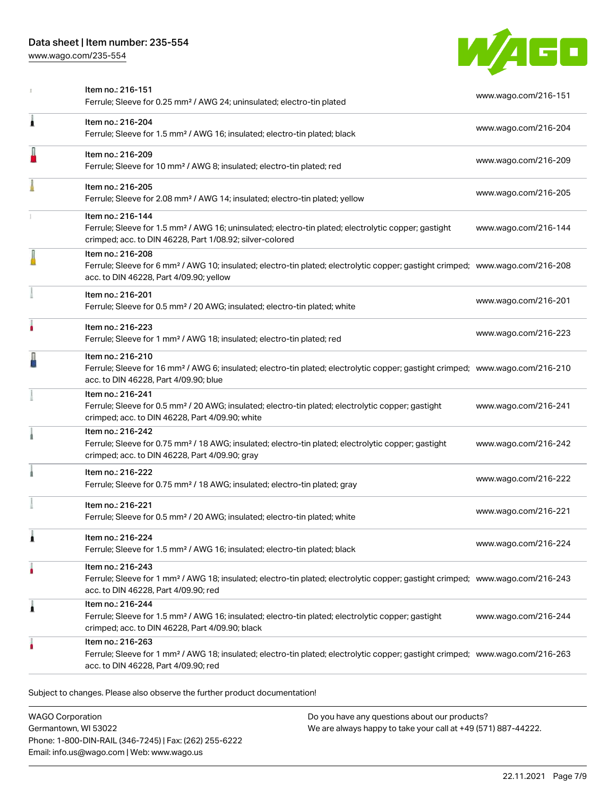[www.wago.com/235-554](http://www.wago.com/235-554)



|   | Item no.: 216-151<br>Ferrule; Sleeve for 0.25 mm <sup>2</sup> / AWG 24; uninsulated; electro-tin plated                                                                                                    | www.wago.com/216-151 |
|---|------------------------------------------------------------------------------------------------------------------------------------------------------------------------------------------------------------|----------------------|
| Â | Item no.: 216-204<br>Ferrule; Sleeve for 1.5 mm <sup>2</sup> / AWG 16; insulated; electro-tin plated; black                                                                                                | www.wago.com/216-204 |
|   | Item no.: 216-209<br>Ferrule; Sleeve for 10 mm <sup>2</sup> / AWG 8; insulated; electro-tin plated; red                                                                                                    | www.wago.com/216-209 |
|   | Item no.: 216-205<br>Ferrule; Sleeve for 2.08 mm <sup>2</sup> / AWG 14; insulated; electro-tin plated; yellow                                                                                              | www.wago.com/216-205 |
|   | Item no.: 216-144<br>Ferrule; Sleeve for 1.5 mm <sup>2</sup> / AWG 16; uninsulated; electro-tin plated; electrolytic copper; gastight<br>crimped; acc. to DIN 46228, Part 1/08.92; silver-colored          | www.wago.com/216-144 |
|   | Item no.: 216-208<br>Ferrule; Sleeve for 6 mm <sup>2</sup> / AWG 10; insulated; electro-tin plated; electrolytic copper; gastight crimped; www.wago.com/216-208<br>acc. to DIN 46228, Part 4/09.90; yellow |                      |
|   | Item no.: 216-201<br>Ferrule; Sleeve for 0.5 mm <sup>2</sup> / 20 AWG; insulated; electro-tin plated; white                                                                                                | www.wago.com/216-201 |
|   | Item no.: 216-223<br>Ferrule; Sleeve for 1 mm <sup>2</sup> / AWG 18; insulated; electro-tin plated; red                                                                                                    | www.wago.com/216-223 |
|   | Item no.: 216-210<br>Ferrule; Sleeve for 16 mm <sup>2</sup> / AWG 6; insulated; electro-tin plated; electrolytic copper; gastight crimped; www.wago.com/216-210<br>acc. to DIN 46228, Part 4/09.90; blue   |                      |
|   | Item no.: 216-241<br>Ferrule; Sleeve for 0.5 mm <sup>2</sup> / 20 AWG; insulated; electro-tin plated; electrolytic copper; gastight<br>crimped; acc. to DIN 46228, Part 4/09.90; white                     | www.wago.com/216-241 |
|   | Item no.: 216-242<br>Ferrule; Sleeve for 0.75 mm <sup>2</sup> / 18 AWG; insulated; electro-tin plated; electrolytic copper; gastight<br>crimped; acc. to DIN 46228, Part 4/09.90; gray                     | www.wago.com/216-242 |
|   | Item no.: 216-222<br>Ferrule; Sleeve for 0.75 mm <sup>2</sup> / 18 AWG; insulated; electro-tin plated; gray                                                                                                | www.wago.com/216-222 |
|   | Item no.: 216-221<br>Ferrule; Sleeve for 0.5 mm <sup>2</sup> / 20 AWG; insulated; electro-tin plated; white                                                                                                | www.wago.com/216-221 |
|   | Item no.: 216-224<br>Ferrule; Sleeve for 1.5 mm <sup>2</sup> / AWG 16; insulated; electro-tin plated; black                                                                                                | www.wago.com/216-224 |
|   | Item no.: 216-243<br>Ferrule; Sleeve for 1 mm <sup>2</sup> / AWG 18; insulated; electro-tin plated; electrolytic copper; gastight crimped; www.wago.com/216-243<br>acc. to DIN 46228, Part 4/09.90; red    |                      |
| 1 | Item no.: 216-244<br>Ferrule; Sleeve for 1.5 mm <sup>2</sup> / AWG 16; insulated; electro-tin plated; electrolytic copper; gastight<br>crimped; acc. to DIN 46228, Part 4/09.90; black                     | www.wago.com/216-244 |
|   | Item no.: 216-263<br>Ferrule; Sleeve for 1 mm <sup>2</sup> / AWG 18; insulated; electro-tin plated; electrolytic copper; gastight crimped; www.wago.com/216-263<br>acc. to DIN 46228, Part 4/09.90; red    |                      |

Subject to changes. Please also observe the further product documentation!

| <b>WAGO Corporation</b>                                |
|--------------------------------------------------------|
| Germantown, WI 53022                                   |
| Phone: 1-800-DIN-RAIL (346-7245)   Fax: (262) 255-6222 |
| Email: info.us@wago.com   Web: www.wago.us             |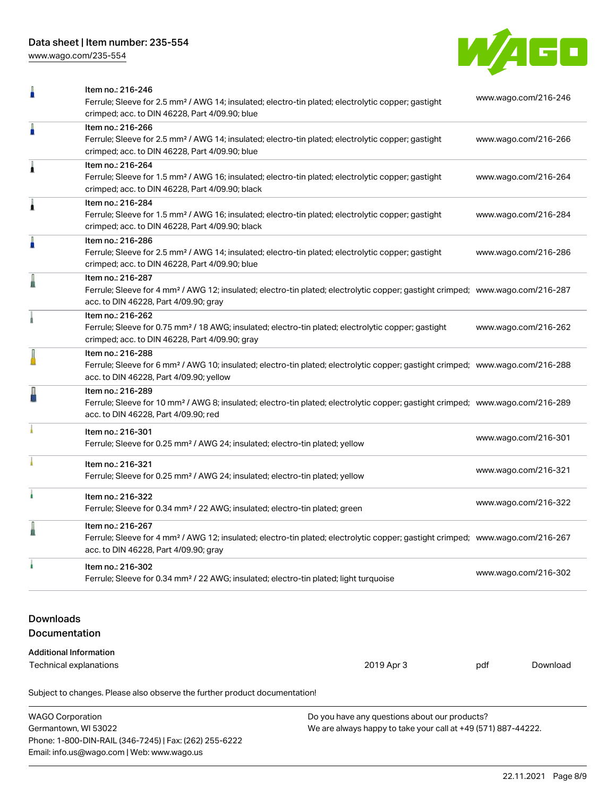[www.wago.com/235-554](http://www.wago.com/235-554)



| Ω                                                                                        | Item no.: 216-246<br>Ferrule; Sleeve for 2.5 mm <sup>2</sup> / AWG 14; insulated; electro-tin plated; electrolytic copper; gastight<br>crimped; acc. to DIN 46228, Part 4/09.90; blue                      |  | www.wago.com/216-246 |                      |  |
|------------------------------------------------------------------------------------------|------------------------------------------------------------------------------------------------------------------------------------------------------------------------------------------------------------|--|----------------------|----------------------|--|
| п                                                                                        | Item no.: 216-266<br>Ferrule; Sleeve for 2.5 mm <sup>2</sup> / AWG 14; insulated; electro-tin plated; electrolytic copper; gastight<br>crimped; acc. to DIN 46228, Part 4/09.90; blue                      |  | www.wago.com/216-266 |                      |  |
| 1                                                                                        | Item no.: 216-264<br>Ferrule; Sleeve for 1.5 mm <sup>2</sup> / AWG 16; insulated; electro-tin plated; electrolytic copper; gastight<br>crimped; acc. to DIN 46228, Part 4/09.90; black                     |  | www.wago.com/216-264 |                      |  |
| 1                                                                                        | Item no.: 216-284<br>Ferrule; Sleeve for 1.5 mm <sup>2</sup> / AWG 16; insulated; electro-tin plated; electrolytic copper; gastight<br>crimped; acc. to DIN 46228, Part 4/09.90; black                     |  | www.wago.com/216-284 |                      |  |
| n                                                                                        | Item no.: 216-286<br>Ferrule; Sleeve for 2.5 mm <sup>2</sup> / AWG 14; insulated; electro-tin plated; electrolytic copper; gastight<br>crimped; acc. to DIN 46228, Part 4/09.90; blue                      |  | www.wago.com/216-286 |                      |  |
|                                                                                          | Item no.: 216-287<br>Ferrule; Sleeve for 4 mm <sup>2</sup> / AWG 12; insulated; electro-tin plated; electrolytic copper; gastight crimped; www.wago.com/216-287<br>acc. to DIN 46228, Part 4/09.90; gray   |  |                      |                      |  |
|                                                                                          | Item no.: 216-262<br>Ferrule; Sleeve for 0.75 mm <sup>2</sup> / 18 AWG; insulated; electro-tin plated; electrolytic copper; gastight<br>crimped; acc. to DIN 46228, Part 4/09.90; gray                     |  | www.wago.com/216-262 |                      |  |
|                                                                                          | Item no.: 216-288<br>Ferrule; Sleeve for 6 mm <sup>2</sup> / AWG 10; insulated; electro-tin plated; electrolytic copper; gastight crimped; www.wago.com/216-288<br>acc. to DIN 46228, Part 4/09.90; yellow |  |                      |                      |  |
|                                                                                          | Item no.: 216-289<br>Ferrule; Sleeve for 10 mm <sup>2</sup> / AWG 8; insulated; electro-tin plated; electrolytic copper; gastight crimped; www.wago.com/216-289<br>acc. to DIN 46228, Part 4/09.90; red    |  |                      |                      |  |
|                                                                                          | Item no.: 216-301<br>Ferrule; Sleeve for 0.25 mm <sup>2</sup> / AWG 24; insulated; electro-tin plated; yellow                                                                                              |  | www.wago.com/216-301 |                      |  |
|                                                                                          | Item no.: 216-321<br>Ferrule; Sleeve for 0.25 mm <sup>2</sup> / AWG 24; insulated; electro-tin plated; yellow                                                                                              |  | www.wago.com/216-321 |                      |  |
|                                                                                          | Item no.: 216-322<br>Ferrule; Sleeve for 0.34 mm <sup>2</sup> / 22 AWG; insulated; electro-tin plated; green                                                                                               |  | www.wago.com/216-322 |                      |  |
|                                                                                          | Item no.: 216-267<br>Ferrule; Sleeve for 4 mm <sup>2</sup> / AWG 12; insulated; electro-tin plated; electrolytic copper; gastight crimped; www.wago.com/216-267<br>acc. to DIN 46228, Part 4/09.90; gray   |  |                      |                      |  |
|                                                                                          | Item no.: 216-302<br>Ferrule; Sleeve for 0.34 mm <sup>2</sup> / 22 AWG; insulated; electro-tin plated; light turquoise                                                                                     |  |                      | www.wago.com/216-302 |  |
| <b>Downloads</b><br>Documentation                                                        |                                                                                                                                                                                                            |  |                      |                      |  |
| <b>Additional Information</b><br>2019 Apr 3<br>Download<br>Technical explanations<br>pdf |                                                                                                                                                                                                            |  |                      |                      |  |
| Subject to changes. Please also observe the further product documentation!               |                                                                                                                                                                                                            |  |                      |                      |  |

| <b>WAGO Corporation</b>                                | Do you have any questions about our products?                 |  |
|--------------------------------------------------------|---------------------------------------------------------------|--|
| Germantown, WI 53022                                   | We are always happy to take your call at +49 (571) 887-44222. |  |
| Phone: 1-800-DIN-RAIL (346-7245)   Fax: (262) 255-6222 |                                                               |  |
| Email: info.us@wago.com   Web: www.wago.us             |                                                               |  |